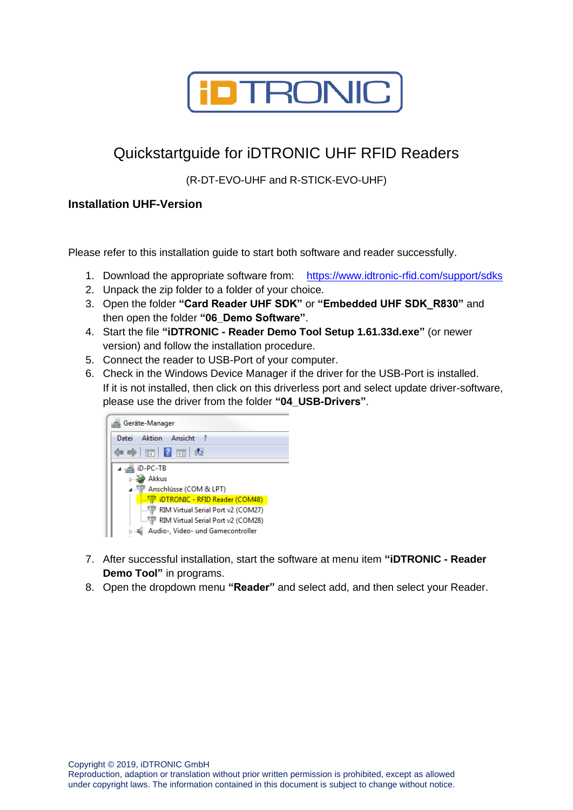

## Quickstartguide for iDTRONIC UHF RFID Readers

(R-DT-EVO-UHF and R-STICK-EVO-UHF)

## **Installation UHF-Version**

Please refer to this installation guide to start both software and reader successfully.

- 1. Download the appropriate software from: <https://www.idtronic-rfid.com/support/sdks>
- 2. Unpack the zip folder to a folder of your choice.
- 3. Open the folder **"Card Reader UHF SDK"** or **"Embedded UHF SDK\_R830"** and then open the folder **"06\_Demo Software"**.
- 4. Start the file **"iDTRONIC - Reader Demo Tool Setup 1.61.33d.exe"** (or newer version) and follow the installation procedure.
- 5. Connect the reader to USB-Port of your computer.
- 6. Check in the Windows Device Manager if the driver for the USB-Port is installed. If it is not installed, then click on this driverless port and select update driver-software, please use the driver from the folder **"04\_USB-Drivers"**.



- 7. After successful installation, start the software at menu item **"iDTRONIC - Reader Demo Tool"** in programs.
- 8. Open the dropdown menu **"Reader"** and select add, and then select your Reader.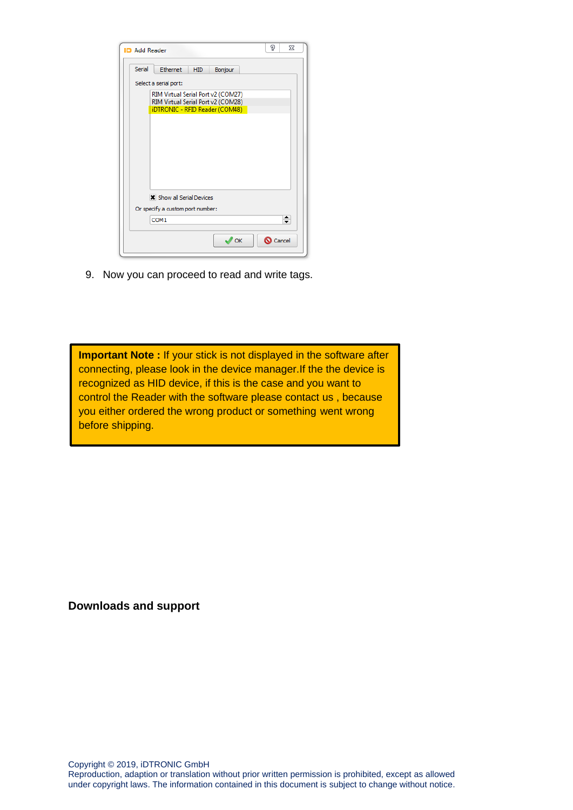| <b>ID</b> Add Reader                                                     | P      | 23                            |
|--------------------------------------------------------------------------|--------|-------------------------------|
| Serial<br>Ethernet<br><b>HID</b><br>Bonjour                              |        |                               |
| Select a serial port:                                                    |        |                               |
| RIM Virtual Serial Port v2 (COM27)<br>RIM Virtual Serial Port v2 (COM28) |        |                               |
| iDTRONIC - RFID Reader (COM48)                                           |        |                               |
|                                                                          |        |                               |
|                                                                          |        |                               |
|                                                                          |        |                               |
|                                                                          |        |                               |
| <b>*</b> Show all Serial Devices                                         |        |                               |
| Or specify a custom port number:                                         |        |                               |
| COM1                                                                     |        | ٠<br>$\overline{\phantom{a}}$ |
| OK                                                                       | Cancel |                               |

9. Now you can proceed to read and write tags.

**Important Note :** If your stick is not displayed in the software after connecting, please look in the device manager.If the the device is recognized as HID device, if this is the case and you want to control the Reader with the software please contact us , because you either ordered the wrong product or something went wrong before shipping.

**Downloads and support**